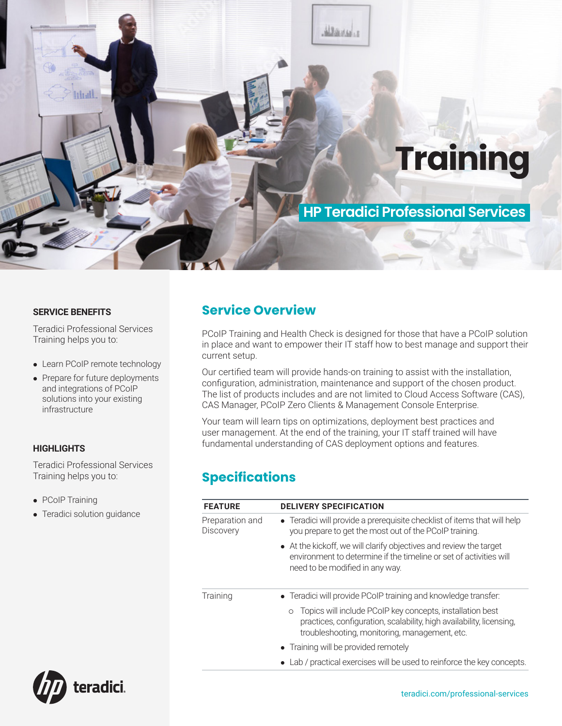

#### **SERVICE BENEFITS**

Teradici Professional Services Training helps you to:

- Learn PCoIP remote technology
- Prepare for future deployments and integrations of PCoIP solutions into your existing infrastructure

#### **HIGHLIGHTS**

Teradici Professional Services Training helps you to:

- PCoIP Training
- Teradici solution guidance

### **Service Overview**

PCoIP Training and Health Check is designed for those that have a PCoIP solution in place and want to empower their IT staff how to best manage and support their current setup.

Our certified team will provide hands-on training to assist with the installation, configuration, administration, maintenance and support of the chosen product. The list of products includes and are not limited to Cloud Access Software (CAS), CAS Manager, PCoIP Zero Clients & Management Console Enterprise.

Your team will learn tips on optimizations, deployment best practices and user management. At the end of the training, your IT staff trained will have fundamental understanding of CAS deployment options and features.

# **Specifications**

| <b>FEATURE</b>               | <b>DELIVERY SPECIFICATION</b>                                                                                                                                                                 |  |
|------------------------------|-----------------------------------------------------------------------------------------------------------------------------------------------------------------------------------------------|--|
| Preparation and<br>Discovery | • Teradici will provide a prerequisite checklist of items that will help<br>you prepare to get the most out of the PCoIP training.                                                            |  |
|                              | • At the kickoff, we will clarify objectives and review the target<br>environment to determine if the timeline or set of activities will<br>need to be modified in any way.                   |  |
| Training                     | • Teradici will provide PCoIP training and knowledge transfer:                                                                                                                                |  |
|                              | Topics will include PCoIP key concepts, installation best<br>$\circ$<br>practices, configuration, scalability, high availability, licensing,<br>troubleshooting, monitoring, management, etc. |  |
|                              | • Training will be provided remotely                                                                                                                                                          |  |
|                              | Lab / practical exercises will be used to reinforce the key concepts.                                                                                                                         |  |